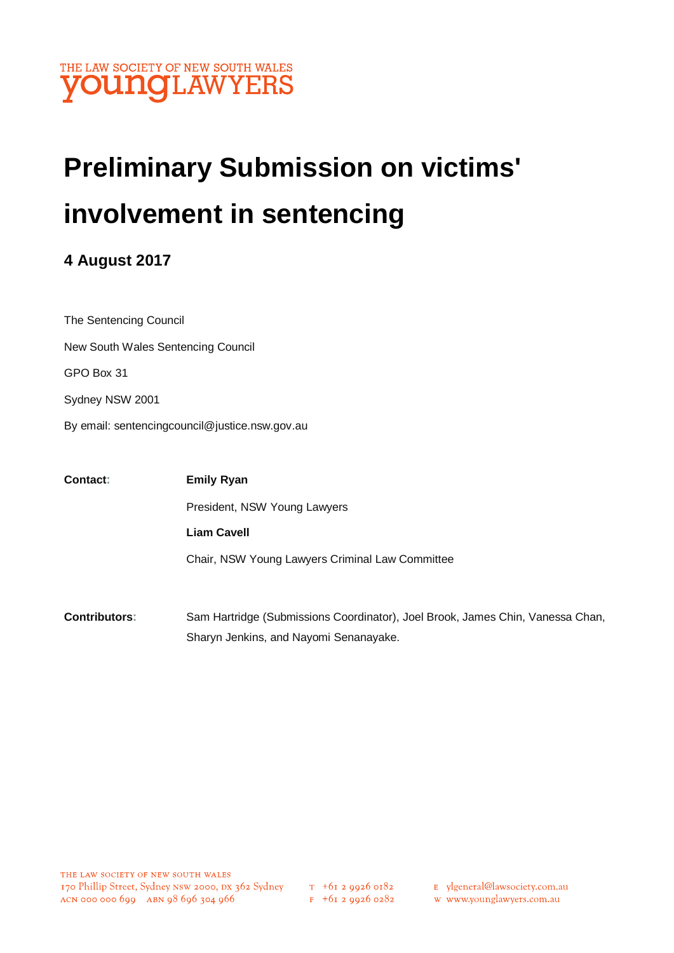

# **Preliminary Submission on victims' involvement in sentencing**

## **4 August 2017**

The Sentencing Council New South Wales Sentencing Council GPO Box 31 Sydney NSW 2001 By email: sentencingcouncil@justice.nsw.gov.au

| <b>Contact:</b> | <b>Emily Ryan</b>                               |
|-----------------|-------------------------------------------------|
|                 | President, NSW Young Lawyers                    |
|                 | <b>Liam Cavell</b>                              |
|                 | Chair, NSW Young Lawyers Criminal Law Committee |
|                 |                                                 |
|                 |                                                 |

**Contributors:** Sam Hartridge (Submissions Coordinator), Joel Brook, James Chin, Vanessa Chan, Sharyn Jenkins, and Nayomi Senanayake.

- E ylgeneral@lawsociety.com.au
- w www.younglawyers.com.au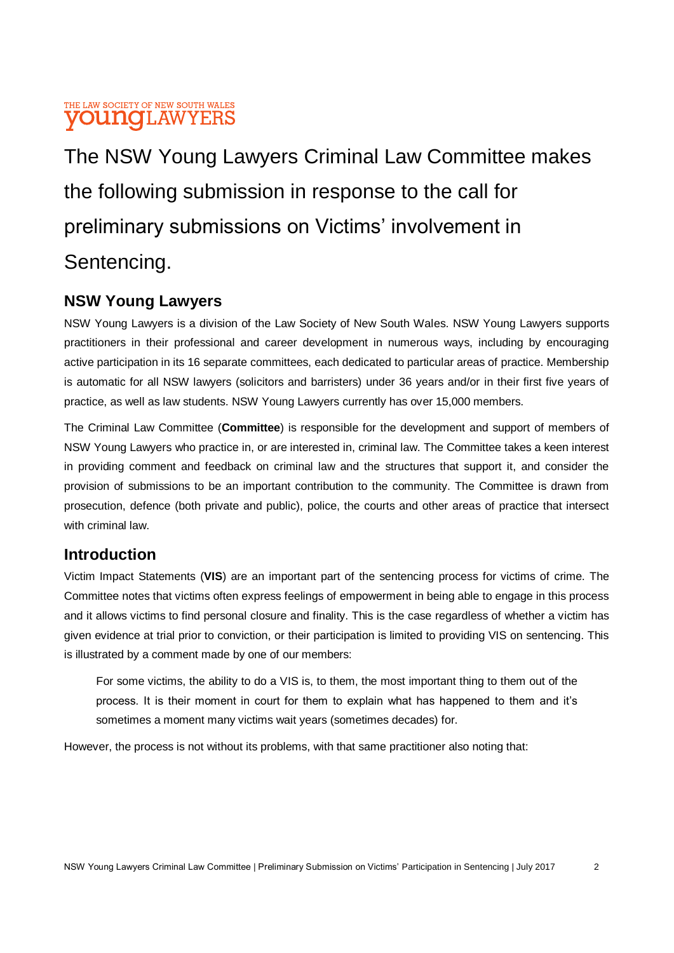#### THE LAW SOCIETY OF NEW SOUTH WALES **YOUNGLAWYERS**

The NSW Young Lawyers Criminal Law Committee makes the following submission in response to the call for preliminary submissions on Victims' involvement in Sentencing.

## **NSW Young Lawyers**

NSW Young Lawyers is a division of the Law Society of New South Wales. NSW Young Lawyers supports practitioners in their professional and career development in numerous ways, including by encouraging active participation in its 16 separate committees, each dedicated to particular areas of practice. Membership is automatic for all NSW lawyers (solicitors and barristers) under 36 years and/or in their first five years of practice, as well as law students. NSW Young Lawyers currently has over 15,000 members.

The Criminal Law Committee (**Committee**) is responsible for the development and support of members of NSW Young Lawyers who practice in, or are interested in, criminal law. The Committee takes a keen interest in providing comment and feedback on criminal law and the structures that support it, and consider the provision of submissions to be an important contribution to the community. The Committee is drawn from prosecution, defence (both private and public), police, the courts and other areas of practice that intersect with criminal law

### **Introduction**

Victim Impact Statements (**VIS**) are an important part of the sentencing process for victims of crime. The Committee notes that victims often express feelings of empowerment in being able to engage in this process and it allows victims to find personal closure and finality. This is the case regardless of whether a victim has given evidence at trial prior to conviction, or their participation is limited to providing VIS on sentencing. This is illustrated by a comment made by one of our members:

For some victims, the ability to do a VIS is, to them, the most important thing to them out of the process. It is their moment in court for them to explain what has happened to them and it's sometimes a moment many victims wait years (sometimes decades) for.

However, the process is not without its problems, with that same practitioner also noting that: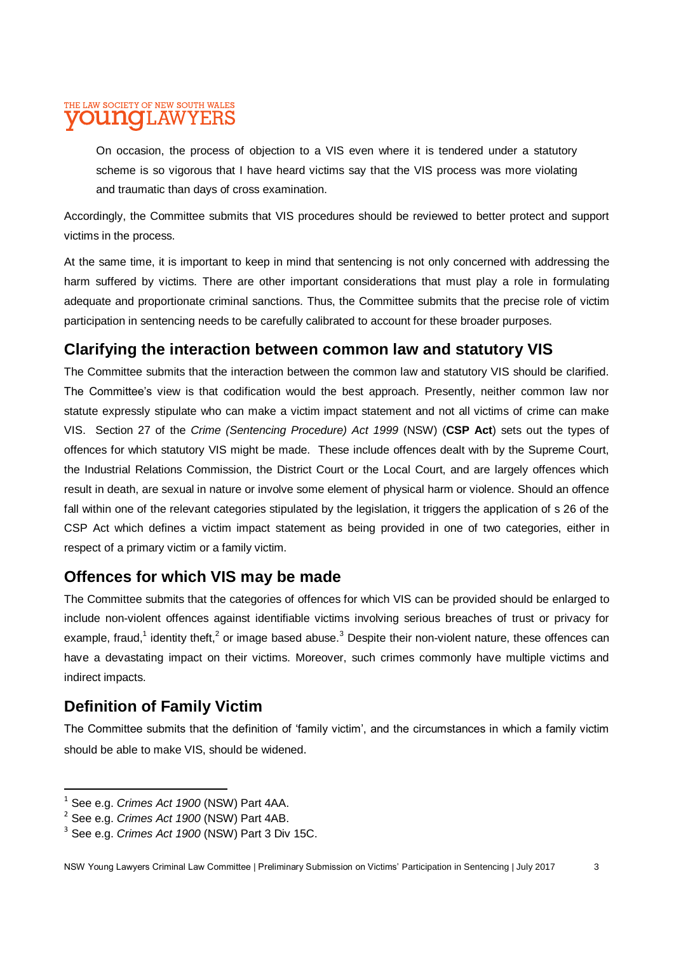#### THE LAW SOCIETY OF NEW SOUTH WALES **VOUNG**LAWYERS

On occasion, the process of objection to a VIS even where it is tendered under a statutory scheme is so vigorous that I have heard victims say that the VIS process was more violating and traumatic than days of cross examination.

Accordingly, the Committee submits that VIS procedures should be reviewed to better protect and support victims in the process.

At the same time, it is important to keep in mind that sentencing is not only concerned with addressing the harm suffered by victims. There are other important considerations that must play a role in formulating adequate and proportionate criminal sanctions. Thus, the Committee submits that the precise role of victim participation in sentencing needs to be carefully calibrated to account for these broader purposes.

## **Clarifying the interaction between common law and statutory VIS**

The Committee submits that the interaction between the common law and statutory VIS should be clarified. The Committee's view is that codification would the best approach. Presently, neither common law nor statute expressly stipulate who can make a victim impact statement and not all victims of crime can make VIS. Section 27 of the *Crime (Sentencing Procedure) Act 1999* (NSW) (**CSP Act**) sets out the types of offences for which statutory VIS might be made. These include offences dealt with by the Supreme Court, the Industrial Relations Commission, the District Court or the Local Court, and are largely offences which result in death, are sexual in nature or involve some element of physical harm or violence. Should an offence fall within one of the relevant categories stipulated by the legislation, it triggers the application of s 26 of the CSP Act which defines a victim impact statement as being provided in one of two categories, either in respect of a primary victim or a family victim.

### **Offences for which VIS may be made**

The Committee submits that the categories of offences for which VIS can be provided should be enlarged to include non-violent offences against identifiable victims involving serious breaches of trust or privacy for example, fraud,<sup>1</sup> identity theft,<sup>2</sup> or image based abuse.<sup>3</sup> Despite their non-violent nature, these offences can have a devastating impact on their victims. Moreover, such crimes commonly have multiple victims and indirect impacts.

## **Definition of Family Victim**

 $\overline{\phantom{a}}$ 

The Committee submits that the definition of 'family victim', and the circumstances in which a family victim should be able to make VIS, should be widened.

<sup>1</sup> See e.g. *Crimes Act 1900* (NSW) Part 4AA.

<sup>2</sup> See e.g. *Crimes Act 1900* (NSW) Part 4AB.

<sup>3</sup> See e.g. *Crimes Act 1900* (NSW) Part 3 Div 15C.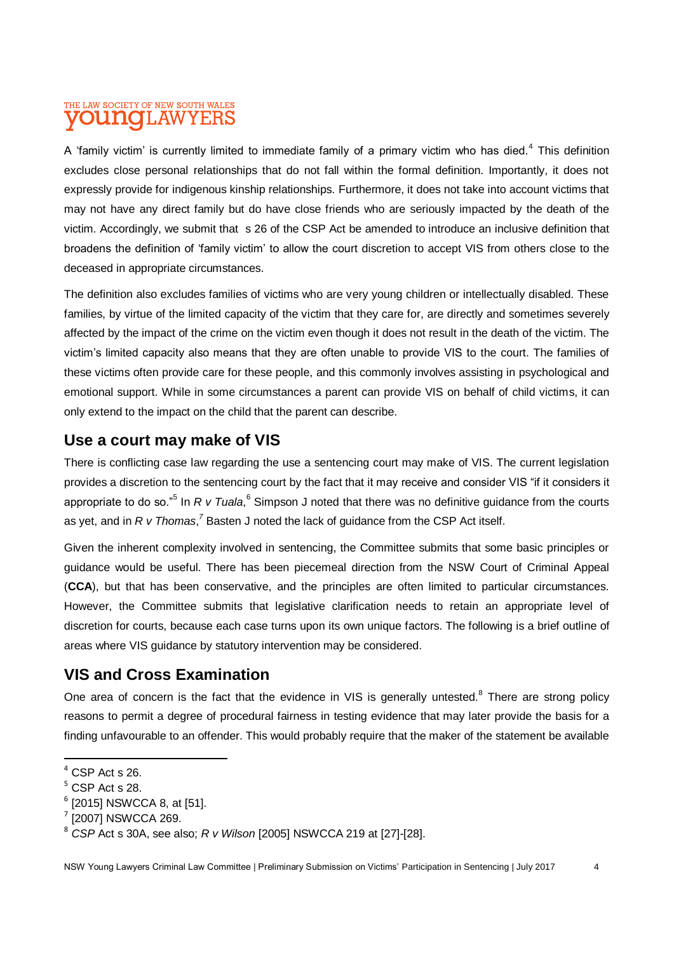#### THE LAW SOCIETY OF NEW SOUTH WALES **YOUNG**LAWYERS

A 'family victim' is currently limited to immediate family of a primary victim who has died.<sup>4</sup> This definition excludes close personal relationships that do not fall within the formal definition. Importantly, it does not expressly provide for indigenous kinship relationships. Furthermore, it does not take into account victims that may not have any direct family but do have close friends who are seriously impacted by the death of the victim. Accordingly, we submit that s 26 of the CSP Act be amended to introduce an inclusive definition that broadens the definition of 'family victim' to allow the court discretion to accept VIS from others close to the deceased in appropriate circumstances.

The definition also excludes families of victims who are very young children or intellectually disabled. These families, by virtue of the limited capacity of the victim that they care for, are directly and sometimes severely affected by the impact of the crime on the victim even though it does not result in the death of the victim. The victim's limited capacity also means that they are often unable to provide VIS to the court. The families of these victims often provide care for these people, and this commonly involves assisting in psychological and emotional support. While in some circumstances a parent can provide VIS on behalf of child victims, it can only extend to the impact on the child that the parent can describe.

## **Use a court may make of VIS**

There is conflicting case law regarding the use a sentencing court may make of VIS. The current legislation provides a discretion to the sentencing court by the fact that it may receive and consider VIS "if it considers it appropriate to do so."<sup>5</sup> In *R v Tuala*, <sup>6</sup> Simpson J noted that there was no definitive guidance from the courts as yet, and in *R v Thomas*,<sup>7</sup> Basten J noted the lack of guidance from the CSP Act itself.

Given the inherent complexity involved in sentencing, the Committee submits that some basic principles or guidance would be useful. There has been piecemeal direction from the NSW Court of Criminal Appeal (**CCA**), but that has been conservative, and the principles are often limited to particular circumstances. However, the Committee submits that legislative clarification needs to retain an appropriate level of discretion for courts, because each case turns upon its own unique factors. The following is a brief outline of areas where VIS guidance by statutory intervention may be considered.

## **VIS and Cross Examination**

One area of concern is the fact that the evidence in VIS is generally untested. $8$  There are strong policy reasons to permit a degree of procedural fairness in testing evidence that may later provide the basis for a finding unfavourable to an offender. This would probably require that the maker of the statement be available

 $\overline{\phantom{a}}$  $4$  CSP Act s 26.

 $5$  CSP Act s 28.

<sup>6</sup> [2015] NSWCCA 8, at [51].

<sup>&</sup>lt;sup>7</sup> [2007] NSWCCA 269.

<sup>8</sup> *CSP* Act s 30A, see also; *R v Wilson* [2005] NSWCCA 219 at [27]-[28].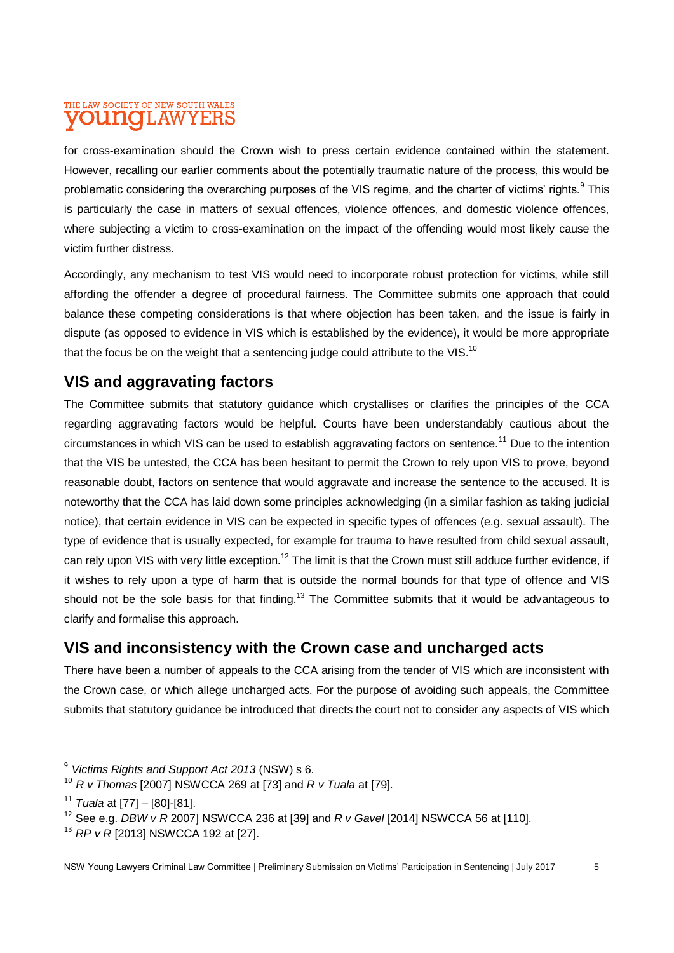#### THE LAW SOCIETY OF NEW SOUTH WALES **YOUNG**LAWYERS

for cross-examination should the Crown wish to press certain evidence contained within the statement. However, recalling our earlier comments about the potentially traumatic nature of the process, this would be problematic considering the overarching purposes of the VIS regime, and the charter of victims' rights.<sup>9</sup> This is particularly the case in matters of sexual offences, violence offences, and domestic violence offences, where subjecting a victim to cross-examination on the impact of the offending would most likely cause the victim further distress.

Accordingly, any mechanism to test VIS would need to incorporate robust protection for victims, while still affording the offender a degree of procedural fairness. The Committee submits one approach that could balance these competing considerations is that where objection has been taken, and the issue is fairly in dispute (as opposed to evidence in VIS which is established by the evidence), it would be more appropriate that the focus be on the weight that a sentencing judge could attribute to the VIS.<sup>10</sup>

## **VIS and aggravating factors**

The Committee submits that statutory guidance which crystallises or clarifies the principles of the CCA regarding aggravating factors would be helpful. Courts have been understandably cautious about the circumstances in which VIS can be used to establish aggravating factors on sentence.<sup>11</sup> Due to the intention that the VIS be untested, the CCA has been hesitant to permit the Crown to rely upon VIS to prove, beyond reasonable doubt, factors on sentence that would aggravate and increase the sentence to the accused. It is noteworthy that the CCA has laid down some principles acknowledging (in a similar fashion as taking judicial notice), that certain evidence in VIS can be expected in specific types of offences (e.g. sexual assault). The type of evidence that is usually expected, for example for trauma to have resulted from child sexual assault, can rely upon VIS with very little exception.<sup>12</sup> The limit is that the Crown must still adduce further evidence, if it wishes to rely upon a type of harm that is outside the normal bounds for that type of offence and VIS should not be the sole basis for that finding.<sup>13</sup> The Committee submits that it would be advantageous to clarify and formalise this approach.

## **VIS and inconsistency with the Crown case and uncharged acts**

There have been a number of appeals to the CCA arising from the tender of VIS which are inconsistent with the Crown case, or which allege uncharged acts. For the purpose of avoiding such appeals, the Committee submits that statutory guidance be introduced that directs the court not to consider any aspects of VIS which

 $\overline{a}$ 

<sup>9</sup> *Victims Rights and Support Act 2013* (NSW) s 6.

<sup>10</sup> *R v Thomas* [2007] NSWCCA 269 at [73] and *R v Tuala* at [79].

<sup>11</sup> *Tuala* at [77] – [80]-[81].

<sup>12</sup> See e.g. *DBW v R* 2007] NSWCCA 236 at [39] and *R v Gavel* [2014] NSWCCA 56 at [110].

<sup>13</sup> *RP v R* [2013] NSWCCA 192 at [27].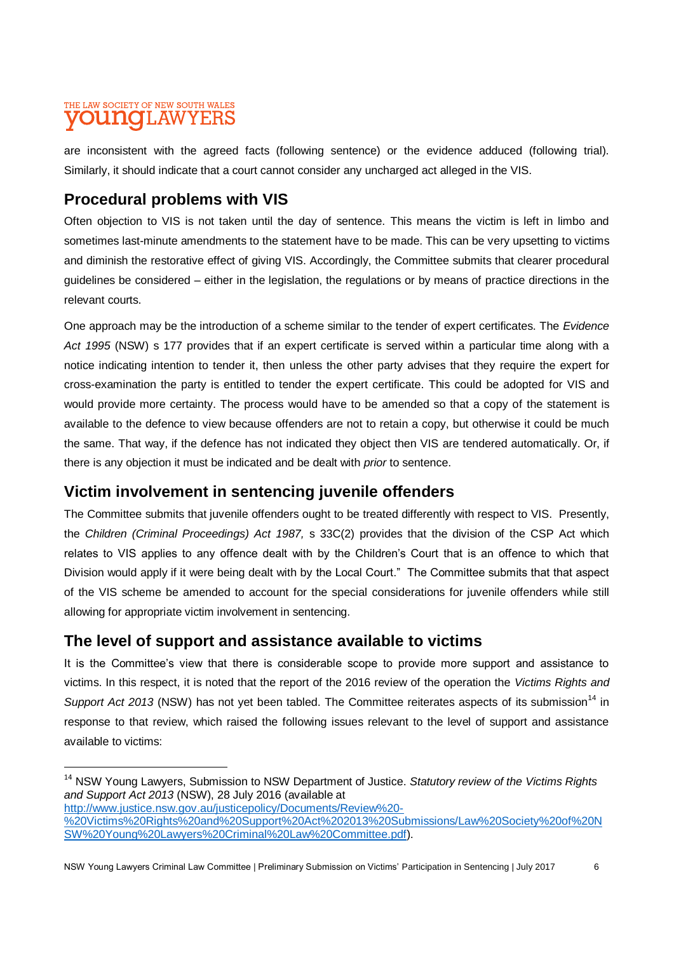#### THE LAW SOCIETY OF NEW SOUTH WALES **VOUNG**LAWYERS

are inconsistent with the agreed facts (following sentence) or the evidence adduced (following trial). Similarly, it should indicate that a court cannot consider any uncharged act alleged in the VIS.

## **Procedural problems with VIS**

Often objection to VIS is not taken until the day of sentence. This means the victim is left in limbo and sometimes last-minute amendments to the statement have to be made. This can be very upsetting to victims and diminish the restorative effect of giving VIS. Accordingly, the Committee submits that clearer procedural guidelines be considered – either in the legislation, the regulations or by means of practice directions in the relevant courts.

One approach may be the introduction of a scheme similar to the tender of expert certificates. The *Evidence Act 1995* (NSW) s 177 provides that if an expert certificate is served within a particular time along with a notice indicating intention to tender it, then unless the other party advises that they require the expert for cross-examination the party is entitled to tender the expert certificate. This could be adopted for VIS and would provide more certainty. The process would have to be amended so that a copy of the statement is available to the defence to view because offenders are not to retain a copy, but otherwise it could be much the same. That way, if the defence has not indicated they object then VIS are tendered automatically. Or, if there is any objection it must be indicated and be dealt with *prior* to sentence.

### **Victim involvement in sentencing juvenile offenders**

The Committee submits that juvenile offenders ought to be treated differently with respect to VIS. Presently, the *Children (Criminal Proceedings) Act 1987,* s 33C(2) provides that the division of the CSP Act which relates to VIS applies to any offence dealt with by the Children's Court that is an offence to which that Division would apply if it were being dealt with by the Local Court." The Committee submits that that aspect of the VIS scheme be amended to account for the special considerations for juvenile offenders while still allowing for appropriate victim involvement in sentencing.

## **The level of support and assistance available to victims**

It is the Committee's view that there is considerable scope to provide more support and assistance to victims. In this respect, it is noted that the report of the 2016 review of the operation the *Victims Rights and Support Act 2013* (NSW) has not yet been tabled. The Committee reiterates aspects of its submission<sup>14</sup> in response to that review, which raised the following issues relevant to the level of support and assistance available to victims:

[http://www.justice.nsw.gov.au/justicepolicy/Documents/Review%20-](http://www.justice.nsw.gov.au/justicepolicy/Documents/Review%20-%20Victims%20Rights%20and%20Support%20Act%202013%20Submissions/Law%20Society%20of%20NSW%20Young%20Lawyers%20Criminal%20Law%20Committee.pdf)

 $\overline{a}$ 

<sup>14</sup> NSW Young Lawyers, Submission to NSW Department of Justice. *Statutory review of the Victims Rights and Support Act 2013* (NSW), 28 July 2016 (available at

[<sup>%20</sup>Victims%20Rights%20and%20Support%20Act%202013%20Submissions/Law%20Society%20of%20N](http://www.justice.nsw.gov.au/justicepolicy/Documents/Review%20-%20Victims%20Rights%20and%20Support%20Act%202013%20Submissions/Law%20Society%20of%20NSW%20Young%20Lawyers%20Criminal%20Law%20Committee.pdf) [SW%20Young%20Lawyers%20Criminal%20Law%20Committee.pdf\)](http://www.justice.nsw.gov.au/justicepolicy/Documents/Review%20-%20Victims%20Rights%20and%20Support%20Act%202013%20Submissions/Law%20Society%20of%20NSW%20Young%20Lawyers%20Criminal%20Law%20Committee.pdf).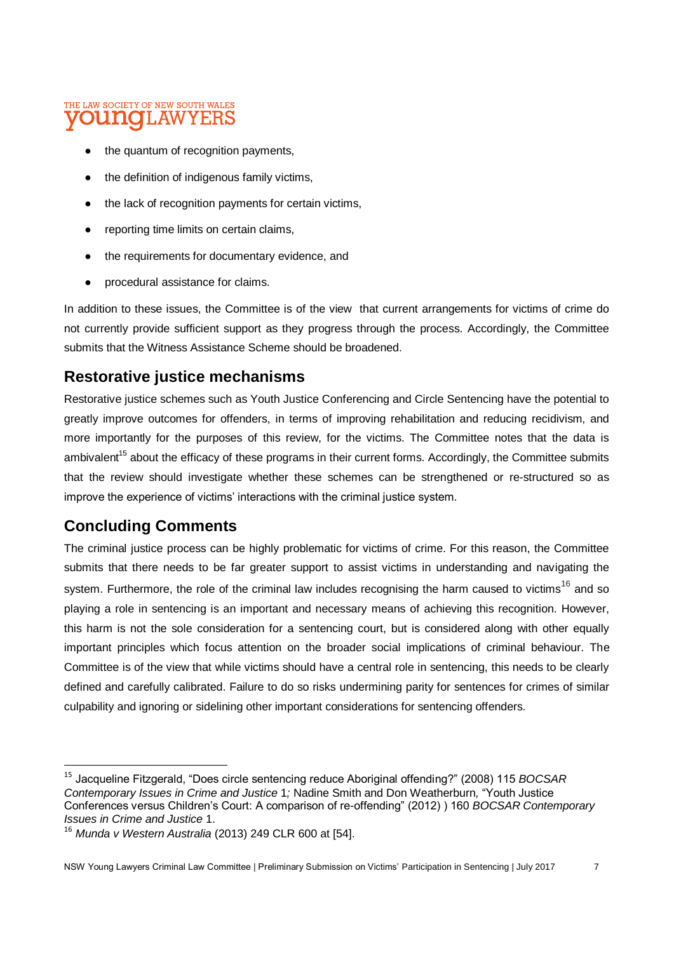#### THE LAW SOCIETY OF NEW SOUTH WALES **VOUNG**LAWYERS

- the quantum of recognition payments,
- the definition of indigenous family victims,
- the lack of recognition payments for certain victims,
- reporting time limits on certain claims,
- the requirements for documentary evidence, and
- procedural assistance for claims.

In addition to these issues, the Committee is of the view that current arrangements for victims of crime do not currently provide sufficient support as they progress through the process. Accordingly, the Committee submits that the Witness Assistance Scheme should be broadened.

### **Restorative justice mechanisms**

Restorative justice schemes such as Youth Justice Conferencing and Circle Sentencing have the potential to greatly improve outcomes for offenders, in terms of improving rehabilitation and reducing recidivism, and more importantly for the purposes of this review, for the victims. The Committee notes that the data is ambivalent<sup>15</sup> about the efficacy of these programs in their current forms. Accordingly, the Committee submits that the review should investigate whether these schemes can be strengthened or re-structured so as improve the experience of victims' interactions with the criminal justice system.

## **Concluding Comments**

 $\overline{a}$ 

The criminal justice process can be highly problematic for victims of crime. For this reason, the Committee submits that there needs to be far greater support to assist victims in understanding and navigating the system. Furthermore, the role of the criminal law includes recognising the harm caused to victims<sup>16</sup> and so playing a role in sentencing is an important and necessary means of achieving this recognition. However, this harm is not the sole consideration for a sentencing court, but is considered along with other equally important principles which focus attention on the broader social implications of criminal behaviour. The Committee is of the view that while victims should have a central role in sentencing, this needs to be clearly defined and carefully calibrated. Failure to do so risks undermining parity for sentences for crimes of similar culpability and ignoring or sidelining other important considerations for sentencing offenders.

<sup>15</sup> Jacqueline Fitzgerald, "Does circle sentencing reduce Aboriginal offending?" (2008) 115 *BOCSAR Contemporary Issues in Crime and Justice* 1*;* Nadine Smith and Don Weatherburn*,* "Youth Justice Conferences versus Children's Court: A comparison of re-offending" (2012) ) 160 *BOCSAR Contemporary Issues in Crime and Justice* 1.

<sup>16</sup> *Munda v Western Australia* (2013) 249 CLR 600 at [54].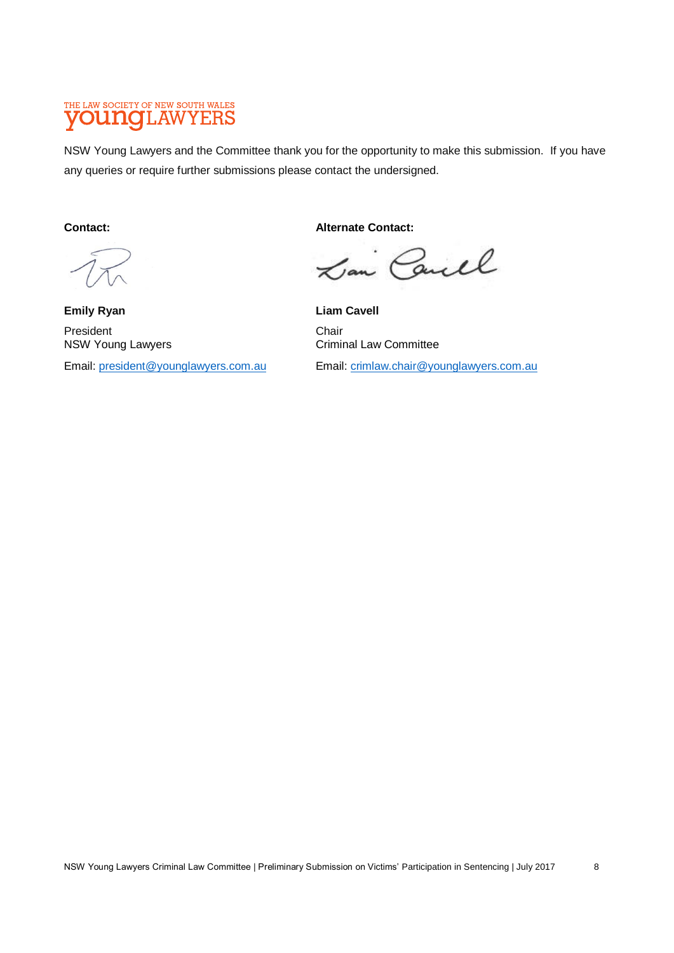## THE LAW SOCIETY OF NEW SOUTH WALES

NSW Young Lawyers and the Committee thank you for the opportunity to make this submission. If you have any queries or require further submissions please contact the undersigned.

**Contact:**

**Emily Ryan** President NSW Young Lawyers

Email: [president@younglawyers.com.au](mailto:president@younglawyers.com.au)

**Alternate Contact:**

Lan Caull

**Liam Cavell Chair** Criminal Law Committee

Email: [crimlaw.chair@younglawyers.com.au](mailto:crimlaw.chair@younglawyers.com.au)